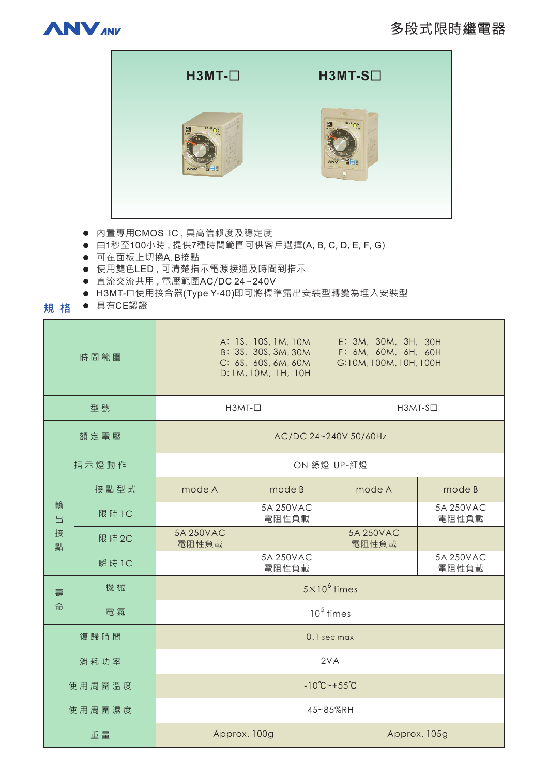



- 内置專用CMOS IC,具高信賴度及穩定度
- 由1秒至100小時,提供7種時間範圍可供客戶選擇(A, B, C, D, E, F, G)
- 可在面板上切換A, B接點
- 使用雙色LED,可清楚指示電源接通及時間到指示
- 直流交流共用, 電壓範圍AC/DC 24~240V
- H3MT-口使用接合器(Type Y-40)即可將標準露出安裝型轉變為埋入安裝型
- **規格** ● 具有CE認證

| 時間範圍             |        | E: 3M, 30M, 3H, 30H<br>A: 1S, 10S, 1M, 10M<br>B: 3S, 30S, 3M, 30M<br>F: 6M, 60M, 6H, 60H<br>C: 6S, 60S, 6M, 60M<br>G:10M, 100M, 10H, 100H<br>D: 1M, 10M, 1H, 10H |                    |                    |                    |
|------------------|--------|------------------------------------------------------------------------------------------------------------------------------------------------------------------|--------------------|--------------------|--------------------|
| 型號               |        | $H3MT$ - $\Box$                                                                                                                                                  |                    | $H3MT-S$           |                    |
| 額定電壓             |        | AC/DC 24~240V 50/60Hz                                                                                                                                            |                    |                    |                    |
| 指示燈動作            |        | ON-綠燈 UP-紅燈                                                                                                                                                      |                    |                    |                    |
| 輸<br>出<br>接<br>點 | 接點型式   | mode A                                                                                                                                                           | mode B             | mode A             | mode B             |
|                  | 限 時 1C |                                                                                                                                                                  | 5A 250VAC<br>電阻性負載 |                    | 5A 250VAC<br>電阻性負載 |
|                  | 限 時 2C | 5A 250VAC<br>電阻性負載                                                                                                                                               |                    | 5A 250VAC<br>電阻性負載 |                    |
|                  | 瞬 時 1C |                                                                                                                                                                  | 5A 250VAC<br>電阻性負載 |                    | 5A 250VAC<br>電阻性負載 |
| 壽<br>命           | 機械     | $5 \times 10^6$ times                                                                                                                                            |                    |                    |                    |
|                  | 電氣     | $105$ times                                                                                                                                                      |                    |                    |                    |
| 復歸時間             |        | 0.1 sec max                                                                                                                                                      |                    |                    |                    |
| 消耗功率             |        | 2VA                                                                                                                                                              |                    |                    |                    |
| 使用周圍溫度           |        | $-10^{\circ}C - +55^{\circ}C$                                                                                                                                    |                    |                    |                    |
| 使用周圍濕度           |        | 45~85%RH                                                                                                                                                         |                    |                    |                    |
| 重量               |        | Approx. 100g                                                                                                                                                     |                    | Approx. 105g       |                    |